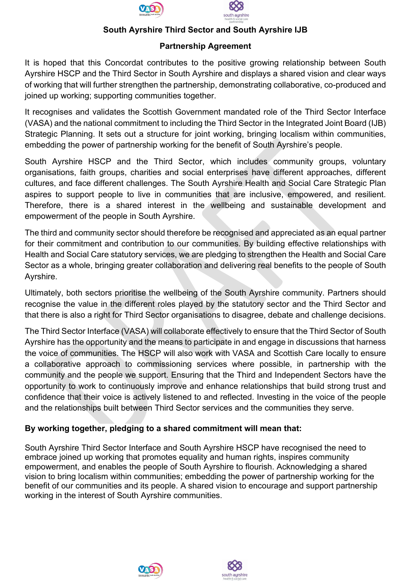



#### **South Ayrshire Third Sector and South Ayrshire IJB**

#### **Partnership Agreement**

It is hoped that this Concordat contributes to the positive growing relationship between South Ayrshire HSCP and the Third Sector in South Ayrshire and displays a shared vision and clear ways of working that will further strengthen the partnership, demonstrating collaborative, co-produced and joined up working; supporting communities together.

It recognises and validates the Scottish Government mandated role of the Third Sector Interface (VASA) and the national commitment to including the Third Sector in the Integrated Joint Board (IJB) Strategic Planning. It sets out a structure for joint working, bringing localism within communities, embedding the power of partnership working for the benefit of South Ayrshire's people.

South Ayrshire HSCP and the Third Sector, which includes community groups, voluntary organisations, faith groups, charities and social enterprises have different approaches, different cultures, and face different challenges. The South Ayrshire Health and Social Care Strategic Plan aspires to support people to live in communities that are inclusive, empowered, and resilient. Therefore, there is a shared interest in the wellbeing and sustainable development and empowerment of the people in South Ayrshire.

The third and community sector should therefore be recognised and appreciated as an equal partner for their commitment and contribution to our communities. By building effective relationships with Health and Social Care statutory services, we are pledging to strengthen the Health and Social Care Sector as a whole, bringing greater collaboration and delivering real benefits to the people of South Ayrshire.

Ultimately, both sectors prioritise the wellbeing of the South Ayrshire community. Partners should recognise the value in the different roles played by the statutory sector and the Third Sector and that there is also a right for Third Sector organisations to disagree, debate and challenge decisions.

The Third Sector Interface (VASA) will collaborate effectively to ensure that the Third Sector of South Ayrshire has the opportunity and the means to participate in and engage in discussions that harness the voice of communities. The HSCP will also work with VASA and Scottish Care locally to ensure a collaborative approach to commissioning services where possible, in partnership with the community and the people we support. Ensuring that the Third and Independent Sectors have the opportunity to work to continuously improve and enhance relationships that build strong trust and confidence that their voice is actively listened to and reflected. Investing in the voice of the people and the relationships built between Third Sector services and the communities they serve.

### **By working together, pledging to a shared commitment will mean that:**

South Ayrshire Third Sector Interface and South Ayrshire HSCP have recognised the need to embrace joined up working that promotes equality and human rights, inspires community empowerment, and enables the people of South Ayrshire to flourish. Acknowledging a shared vision to bring localism within communities; embedding the power of partnership working for the benefit of our communities and its people. A shared vision to encourage and support partnership working in the interest of South Ayrshire communities.